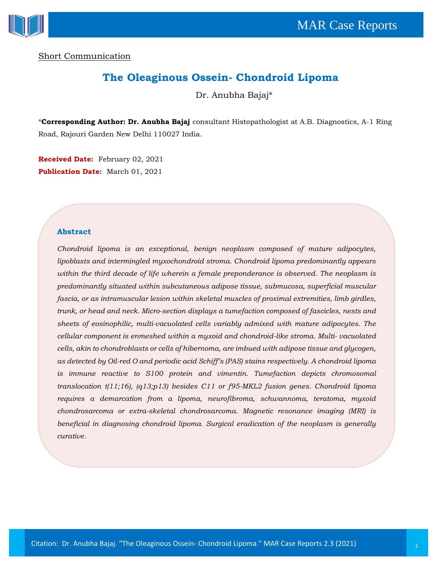

Short Communication

# **The Oleaginous Ossein- Chondroid Lipoma**

Dr. Anubha Bajaj\*

\***Corresponding Author: Dr. Anubha Bajaj** consultant Histopathologist at A.B. Diagnostics, A-1 Ring Road, Rajouri Garden New Delhi 110027 India.

**Received Date:** February 02, 2021 **Publication Date:** March 01, 2021

#### **Abstract**

*Chondroid lipoma is an exceptional, benign neoplasm composed of mature adipocytes, lipoblasts and intermingled myxochondroid stroma. Chondroid lipoma predominantly appears within the third decade of life wherein a female preponderance is observed. The neoplasm is predominantly situated within subcutaneous adipose tissue, submucosa, superficial muscular fascia, or as intramuscular lesion within skeletal muscles of proximal extremities, limb girdles, trunk, or head and neck. Micro-section displays a tumefaction composed of fascicles, nests and sheets of eosinophilic, multi-vacuolated cells variably admixed with mature adipocytes. The cellular component is enmeshed within a myxoid and chondroid-like stroma. Multi- vacuolated cells, akin to chondroblasts or cells of hibernoma, are imbued with adipose tissue and glycogen, as detected by Oil-red O and periodic acid Schiff's (PAS) stains respectively. A chondroid lipoma is immune reactive to S100 protein and vimentin. Tumefaction depicts chromosomal translocation t(11;16), (q13;p13) besides C11 or f95-MKL2 fusion genes. Chondroid lipoma requires a demarcation from a lipoma, neurofibroma, schwannoma, teratoma, myxoid chondrosarcoma or extra-skeletal chondrosarcoma. Magnetic resonance imaging (MRI) is beneficial in diagnosing chondroid lipoma. Surgical eradication of the neoplasm is generally curative.*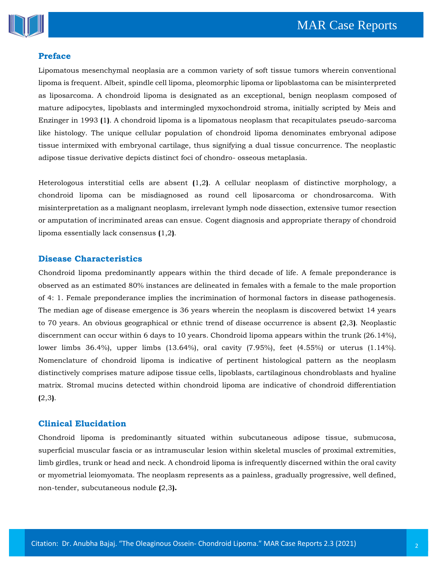

# **Preface**

Lipomatous mesenchymal neoplasia are a common variety of soft tissue tumors wherein conventional lipoma is frequent. Albeit, spindle cell lipoma, pleomorphic lipoma or lipoblastoma can be misinterpreted as liposarcoma. A chondroid lipoma is designated as an exceptional, benign neoplasm composed of mature adipocytes, lipoblasts and intermingled myxochondroid stroma, initially scripted by Meis and Enzinger in 1993 **(**1**)**. A chondroid lipoma is a lipomatous neoplasm that recapitulates pseudo-sarcoma like histology. The unique cellular population of chondroid lipoma denominates embryonal adipose tissue intermixed with embryonal cartilage, thus signifying a dual tissue concurrence. The neoplastic adipose tissue derivative depicts distinct foci of chondro- osseous metaplasia.

Heterologous interstitial cells are absent **(**1,2**)**. A cellular neoplasm of distinctive morphology, a chondroid lipoma can be misdiagnosed as round cell liposarcoma or chondrosarcoma. With misinterpretation as a malignant neoplasm, irrelevant lymph node dissection, extensive tumor resection or amputation of incriminated areas can ensue. Cogent diagnosis and appropriate therapy of chondroid lipoma essentially lack consensus **(**1,2**)**.

## **Disease Characteristics**

Chondroid lipoma predominantly appears within the third decade of life. A female preponderance is observed as an estimated 80% instances are delineated in females with a female to the male proportion of 4: 1. Female preponderance implies the incrimination of hormonal factors in disease pathogenesis. The median age of disease emergence is 36 years wherein the neoplasm is discovered betwixt 14 years to 70 years. An obvious geographical or ethnic trend of disease occurrence is absent **(**2,3**)**. Neoplastic discernment can occur within 6 days to 10 years. Chondroid lipoma appears within the trunk (26.14%), lower limbs 36.4%), upper limbs (13.64%), oral cavity (7.95%), feet (4.55%) or uterus (1.14%). Nomenclature of chondroid lipoma is indicative of pertinent histological pattern as the neoplasm distinctively comprises mature adipose tissue cells, lipoblasts, cartilaginous chondroblasts and hyaline matrix. Stromal mucins detected within chondroid lipoma are indicative of chondroid differentiation **(**2,3**)**.

#### **Clinical Elucidation**

Chondroid lipoma is predominantly situated within subcutaneous adipose tissue, submucosa, superficial muscular fascia or as intramuscular lesion within skeletal muscles of proximal extremities, limb girdles, trunk or head and neck. A chondroid lipoma is infrequently discerned within the oral cavity or myometrial leiomyomata. The neoplasm represents as a painless, gradually progressive, well defined, non-tender, subcutaneous nodule **(**2,3**).**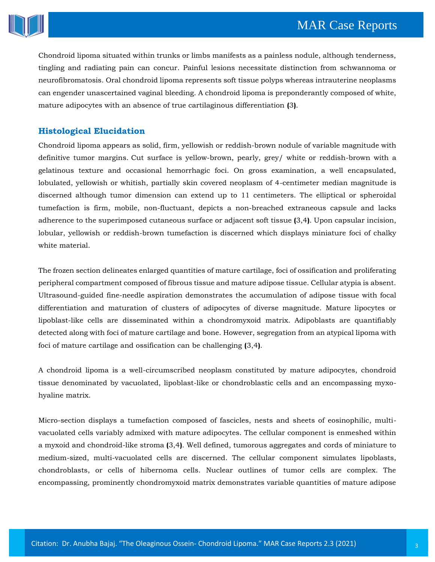

Chondroid lipoma situated within trunks or limbs manifests as a painless nodule, although tenderness, tingling and radiating pain can concur. Painful lesions necessitate distinction from schwannoma or neurofibromatosis. Oral chondroid lipoma represents soft tissue polyps whereas intrauterine neoplasms can engender unascertained vaginal bleeding. A chondroid lipoma is preponderantly composed of white, mature adipocytes with an absence of true cartilaginous differentiation **(**3**)**.

# **Histological Elucidation**

Chondroid lipoma appears as solid, firm, yellowish or reddish-brown nodule of variable magnitude with definitive tumor margins. Cut surface is yellow-brown, pearly, grey/ white or reddish-brown with a gelatinous texture and occasional hemorrhagic foci. On gross examination, a well encapsulated, lobulated, yellowish or whitish, partially skin covered neoplasm of 4-centimeter median magnitude is discerned although tumor dimension can extend up to 11 centimeters. The elliptical or spheroidal tumefaction is firm, mobile, non-fluctuant, depicts a non-breached extraneous capsule and lacks adherence to the superimposed cutaneous surface or adjacent soft tissue **(**3,4**)**. Upon capsular incision, lobular, yellowish or reddish-brown tumefaction is discerned which displays miniature foci of chalky white material.

The frozen section delineates enlarged quantities of mature cartilage, foci of ossification and proliferating peripheral compartment composed of fibrous tissue and mature adipose tissue. Cellular atypia is absent. Ultrasound-guided fine-needle aspiration demonstrates the accumulation of adipose tissue with focal differentiation and maturation of clusters of adipocytes of diverse magnitude. Mature lipocytes or lipoblast-like cells are disseminated within a chondromyxoid matrix. Adipoblasts are quantifiably detected along with foci of mature cartilage and bone. However, segregation from an atypical lipoma with foci of mature cartilage and ossification can be challenging **(**3,4**)**.

A chondroid lipoma is a well-circumscribed neoplasm constituted by mature adipocytes, chondroid tissue denominated by vacuolated, lipoblast-like or chondroblastic cells and an encompassing myxohyaline matrix.

Micro-section displays a tumefaction composed of fascicles, nests and sheets of eosinophilic, multivacuolated cells variably admixed with mature adipocytes. The cellular component is enmeshed within a myxoid and chondroid-like stroma **(**3,4**)**. Well defined, tumorous aggregates and cords of miniature to medium-sized, multi-vacuolated cells are discerned. The cellular component simulates lipoblasts, chondroblasts, or cells of hibernoma cells. Nuclear outlines of tumor cells are complex. The encompassing, prominently chondromyxoid matrix demonstrates variable quantities of mature adipose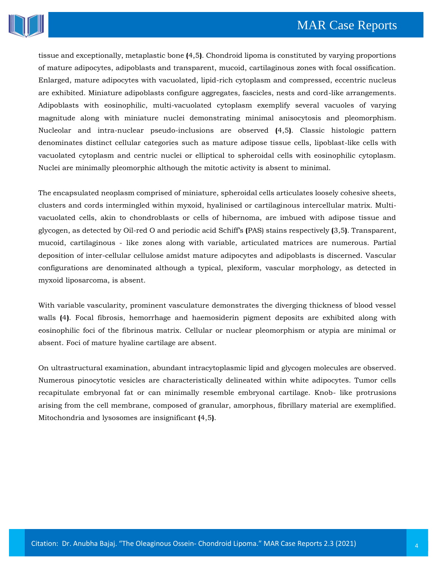

tissue and exceptionally, metaplastic bone **(**4,5**)**. Chondroid lipoma is constituted by varying proportions of mature adipocytes, adipoblasts and transparent, mucoid, cartilaginous zones with focal ossification. Enlarged, mature adipocytes with vacuolated, lipid-rich cytoplasm and compressed, eccentric nucleus are exhibited. Miniature adipoblasts configure aggregates, fascicles, nests and cord-like arrangements. Adipoblasts with eosinophilic, multi-vacuolated cytoplasm exemplify several vacuoles of varying magnitude along with miniature nuclei demonstrating minimal anisocytosis and pleomorphism. Nucleolar and intra-nuclear pseudo-inclusions are observed **(**4,5**)**. Classic histologic pattern denominates distinct cellular categories such as mature adipose tissue cells, lipoblast-like cells with vacuolated cytoplasm and centric nuclei or elliptical to spheroidal cells with eosinophilic cytoplasm. Nuclei are minimally pleomorphic although the mitotic activity is absent to minimal.

The encapsulated neoplasm comprised of miniature, spheroidal cells articulates loosely cohesive sheets, clusters and cords intermingled within myxoid, hyalinised or cartilaginous intercellular matrix. Multivacuolated cells, akin to chondroblasts or cells of hibernoma, are imbued with adipose tissue and glycogen, as detected by Oil-red O and periodic acid Schiff's **(**PAS) stains respectively **(**3,5**)**. Transparent, mucoid, cartilaginous - like zones along with variable, articulated matrices are numerous. Partial deposition of inter-cellular cellulose amidst mature adipocytes and adipoblasts is discerned. Vascular configurations are denominated although a typical, plexiform, vascular morphology, as detected in myxoid liposarcoma, is absent.

With variable vascularity, prominent vasculature demonstrates the diverging thickness of blood vessel walls **(**4**)**. Focal fibrosis, hemorrhage and haemosiderin pigment deposits are exhibited along with eosinophilic foci of the fibrinous matrix. Cellular or nuclear pleomorphism or atypia are minimal or absent. Foci of mature hyaline cartilage are absent.

On ultrastructural examination, abundant intracytoplasmic lipid and glycogen molecules are observed. Numerous pinocytotic vesicles are characteristically delineated within white adipocytes. Tumor cells recapitulate embryonal fat or can minimally resemble embryonal cartilage. Knob- like protrusions arising from the cell membrane, composed of granular, amorphous, fibrillary material are exemplified. Mitochondria and lysosomes are insignificant **(**4,5**)**.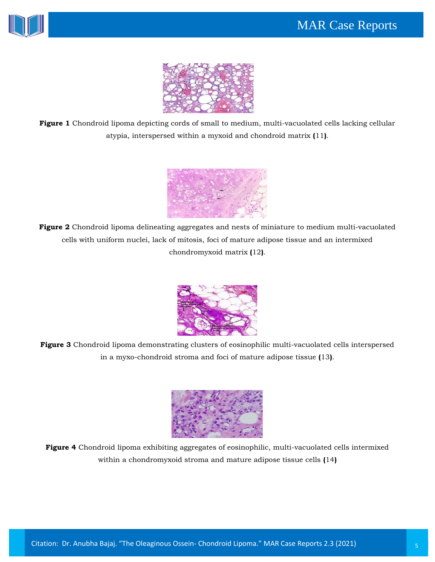



**Figure 1** Chondroid lipoma depicting cords of small to medium, multi-vacuolated cells lacking cellular atypia, interspersed within a myxoid and chondroid matrix **(**11**)**.



**Figure 2** Chondroid lipoma delineating aggregates and nests of miniature to medium multi-vacuolated cells with uniform nuclei, lack of mitosis, foci of mature adipose tissue and an intermixed chondromyxoid matrix **(**12**)**.



**Figure 3** Chondroid lipoma demonstrating clusters of eosinophilic multi-vacuolated cells interspersed in a myxo-chondroid stroma and foci of mature adipose tissue **(**13**)**.



**Figure 4** Chondroid lipoma exhibiting aggregates of eosinophilic, multi-vacuolated cells intermixed within a chondromyxoid stroma and mature adipose tissue cells **(**14**)**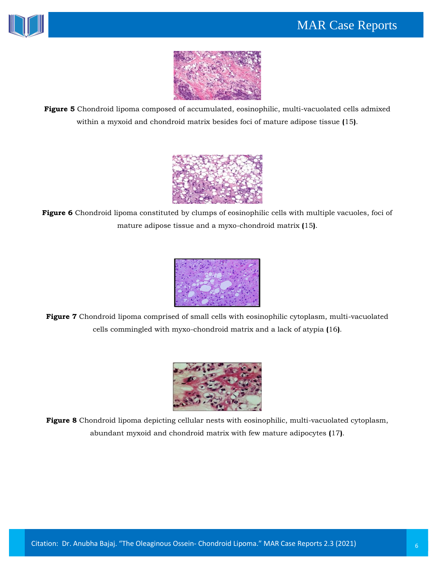



**Figure 5** Chondroid lipoma composed of accumulated, eosinophilic, multi-vacuolated cells admixed within a myxoid and chondroid matrix besides foci of mature adipose tissue **(**15**)**.



**Figure 6** Chondroid lipoma constituted by clumps of eosinophilic cells with multiple vacuoles, foci of mature adipose tissue and a myxo-chondroid matrix **(**15**)**.



**Figure 7** Chondroid lipoma comprised of small cells with eosinophilic cytoplasm, multi-vacuolated cells commingled with myxo-chondroid matrix and a lack of atypia **(**16**)**.



**Figure 8** Chondroid lipoma depicting cellular nests with eosinophilic, multi-vacuolated cytoplasm, abundant myxoid and chondroid matrix with few mature adipocytes **(**17**)**.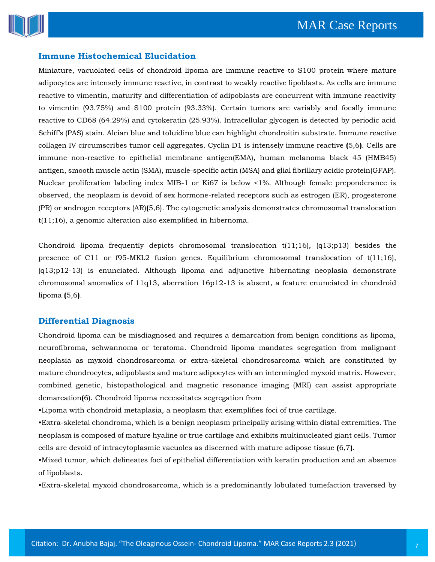

## **Immune Histochemical Elucidation**

Miniature, vacuolated cells of chondroid lipoma are immune reactive to S100 protein where mature adipocytes are intensely immune reactive, in contrast to weakly reactive lipoblasts. As cells are immune reactive to vimentin, maturity and differentiation of adipoblasts are concurrent with immune reactivity to vimentin (93.75%) and S100 protein (93.33%). Certain tumors are variably and focally immune reactive to CD68 (64.29%) and cytokeratin (25.93%). Intracellular glycogen is detected by periodic acid Schiff's (PAS) stain. Alcian blue and toluidine blue can highlight chondroitin substrate. Immune reactive collagen IV circumscribes tumor cell aggregates. Cyclin D1 is intensely immune reactive **(**5,6**)**. Cells are immune non-reactive to epithelial membrane antigen(EMA), human melanoma black 45 (HMB45) antigen, smooth muscle actin (SMA), muscle-specific actin (MSA) and glial fibrillary acidic protein(GFAP). Nuclear proliferation labeling index MIB-1 or Ki67 is below <1%. Although female preponderance is observed, the neoplasm is devoid of sex hormone-related receptors such as estrogen (ER), progesterone (PR) or androgen receptors (AR)**(**5,6). The cytogenetic analysis demonstrates chromosomal translocation t(11;16), a genomic alteration also exemplified in hibernoma.

Chondroid lipoma frequently depicts chromosomal translocation  $t(11;16)$ ,  $(q13;p13)$  besides the presence of C11 or f95-MKL2 fusion genes. Equilibrium chromosomal translocation of t(11;16), (q13;p12-13) is enunciated. Although lipoma and adjunctive hibernating neoplasia demonstrate chromosomal anomalies of 11q13, aberration 16p12-13 is absent, a feature enunciated in chondroid lipoma **(**5,6**)**.

#### **Differential Diagnosis**

Chondroid lipoma can be misdiagnosed and requires a demarcation from benign conditions as lipoma, neurofibroma, schwannoma or teratoma. Chondroid lipoma mandates segregation from malignant neoplasia as myxoid chondrosarcoma or extra-skeletal chondrosarcoma which are constituted by mature chondrocytes, adipoblasts and mature adipocytes with an intermingled myxoid matrix. However, combined genetic, histopathological and magnetic resonance imaging (MRI) can assist appropriate demarcation**(**6). Chondroid lipoma necessitates segregation from

•Lipoma with chondroid metaplasia, a neoplasm that exemplifies foci of true cartilage.

•Extra-skeletal chondroma, which is a benign neoplasm principally arising within distal extremities. The neoplasm is composed of mature hyaline or true cartilage and exhibits multinucleated giant cells. Tumor cells are devoid of intracytoplasmic vacuoles as discerned with mature adipose tissue **(**6,7**)**.

•Mixed tumor, which delineates foci of epithelial differentiation with keratin production and an absence of lipoblasts.

•Extra-skeletal myxoid chondrosarcoma, which is a predominantly lobulated tumefaction traversed by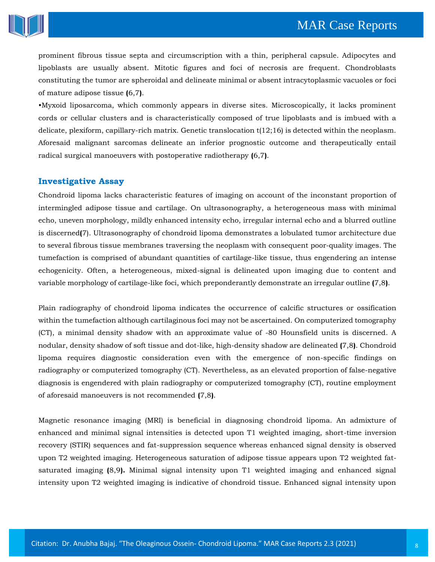

prominent fibrous tissue septa and circumscription with a thin, peripheral capsule. Adipocytes and lipoblasts are usually absent. Mitotic figures and foci of necrosis are frequent. Chondroblasts constituting the tumor are spheroidal and delineate minimal or absent intracytoplasmic vacuoles or foci of mature adipose tissue **(**6,7**)**.

•Myxoid liposarcoma, which commonly appears in diverse sites. Microscopically, it lacks prominent cords or cellular clusters and is characteristically composed of true lipoblasts and is imbued with a delicate, plexiform, capillary-rich matrix. Genetic translocation t(12;16) is detected within the neoplasm. Aforesaid malignant sarcomas delineate an inferior prognostic outcome and therapeutically entail radical surgical manoeuvers with postoperative radiotherapy **(**6,7**)**.

## **Investigative Assay**

Chondroid lipoma lacks characteristic features of imaging on account of the inconstant proportion of intermingled adipose tissue and cartilage. On ultrasonography, a heterogeneous mass with minimal echo, uneven morphology, mildly enhanced intensity echo, irregular internal echo and a blurred outline is discerned**(**7). Ultrasonography of chondroid lipoma demonstrates a lobulated tumor architecture due to several fibrous tissue membranes traversing the neoplasm with consequent poor-quality images. The tumefaction is comprised of abundant quantities of cartilage-like tissue, thus engendering an intense echogenicity. Often, a heterogeneous, mixed-signal is delineated upon imaging due to content and variable morphology of cartilage-like foci, which preponderantly demonstrate an irregular outline **(**7,8**)**.

Plain radiography of chondroid lipoma indicates the occurrence of calcific structures or ossification within the tumefaction although cartilaginous foci may not be ascertained. On computerized tomography (CT), a minimal density shadow with an approximate value of -80 Hounsfield units is discerned. A nodular, density shadow of soft tissue and dot-like, high-density shadow are delineated **(**7,8**)**. Chondroid lipoma requires diagnostic consideration even with the emergence of non-specific findings on radiography or computerized tomography (CT). Nevertheless, as an elevated proportion of false-negative diagnosis is engendered with plain radiography or computerized tomography (CT), routine employment of aforesaid manoeuvers is not recommended **(**7,8**)**.

Magnetic resonance imaging (MRI) is beneficial in diagnosing chondroid lipoma. An admixture of enhanced and minimal signal intensities is detected upon T1 weighted imaging, short-time inversion recovery (STIR) sequences and fat-suppression sequence whereas enhanced signal density is observed upon T2 weighted imaging. Heterogeneous saturation of adipose tissue appears upon T2 weighted fatsaturated imaging **(**8,9**).** Minimal signal intensity upon T1 weighted imaging and enhanced signal intensity upon T2 weighted imaging is indicative of chondroid tissue. Enhanced signal intensity upon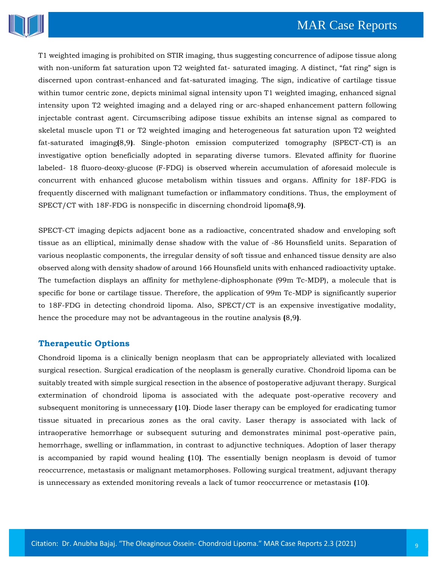

T1 weighted imaging is prohibited on STIR imaging, thus suggesting concurrence of adipose tissue along with non-uniform fat saturation upon T2 weighted fat- saturated imaging. A distinct, "fat ring" sign is discerned upon contrast-enhanced and fat-saturated imaging. The sign, indicative of cartilage tissue within tumor centric zone, depicts minimal signal intensity upon T1 weighted imaging, enhanced signal intensity upon T2 weighted imaging and a delayed ring or arc-shaped enhancement pattern following injectable contrast agent. Circumscribing adipose tissue exhibits an intense signal as compared to skeletal muscle upon T1 or T2 weighted imaging and heterogeneous fat saturation upon T2 weighted fat-saturated imaging**(**8,9**)**. Single-photon emission computerized tomography (SPECT-CT) is an investigative option beneficially adopted in separating diverse tumors. Elevated affinity for fluorine labeled- 18 fluoro-deoxy-glucose (F-FDG) is observed wherein accumulation of aforesaid molecule is concurrent with enhanced glucose metabolism within tissues and organs. Affinity for 18F-FDG is frequently discerned with malignant tumefaction or inflammatory conditions. Thus, the employment of SPECT/CT with 18F-FDG is nonspecific in discerning chondroid lipoma**(**8,9**)**.

SPECT-CT imaging depicts adjacent bone as a radioactive, concentrated shadow and enveloping soft tissue as an elliptical, minimally dense shadow with the value of -86 Hounsfield units. Separation of various neoplastic components, the irregular density of soft tissue and enhanced tissue density are also observed along with density shadow of around 166 Hounsfield units with enhanced radioactivity uptake. The tumefaction displays an affinity for methylene-diphosphonate (99m Tc-MDP), a molecule that is specific for bone or cartilage tissue. Therefore, the application of 99m Tc-MDP is significantly superior to 18F-FDG in detecting chondroid lipoma. Also, SPECT/CT is an expensive investigative modality, hence the procedure may not be advantageous in the routine analysis **(**8,9**)**.

#### **Therapeutic Options**

Chondroid lipoma is a clinically benign neoplasm that can be appropriately alleviated with localized surgical resection. Surgical eradication of the neoplasm is generally curative. Chondroid lipoma can be suitably treated with simple surgical resection in the absence of postoperative adjuvant therapy. Surgical extermination of chondroid lipoma is associated with the adequate post-operative recovery and subsequent monitoring is unnecessary **(**10**)**. Diode laser therapy can be employed for eradicating tumor tissue situated in precarious zones as the oral cavity. Laser therapy is associated with lack of intraoperative hemorrhage or subsequent suturing and demonstrates minimal post-operative pain, hemorrhage, swelling or inflammation, in contrast to adjunctive techniques. Adoption of laser therapy is accompanied by rapid wound healing **(**10**)**. The essentially benign neoplasm is devoid of tumor reoccurrence, metastasis or malignant metamorphoses. Following surgical treatment, adjuvant therapy is unnecessary as extended monitoring reveals a lack of tumor reoccurrence or metastasis **(**10**)**.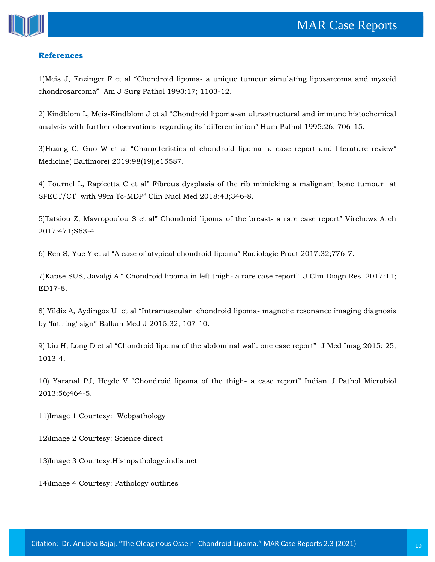

#### **References**

1)Meis J, Enzinger F et al "Chondroid lipoma- [a unique tumour simulating liposarcoma and myxoid](https://www.google.com/search?biw=1366&bih=625&sxsrf=ALeKk002S70jAwg7YUjstHB-3Pu0bD85qg%3A1613036361361&ei=SfskYPKwFdniz7sPg8-T2A0&q=Chondroid+lipoma-+a+unique+tumour+simulating+liposarcoma+and+myxoid+chondrosarcoma&oq=Chondroid+lipoma-+a+unique+tumour+simulating+liposarcoma+and+myxoid+chondrosarcoma&gs_lcp=Cgdnd3Mtd2l6EAM6BwgjEOoCECdQnpA4WJ6QOGDEkjhoAXACeACAAbMBiAHbApIBAzAuMpgBAKABAaABAqoBB2d3cy13aXqwAQrAAQE&sclient=gws-wiz&ved=0ahUKEwiy-c_axOHuAhVZ8XMBHYPnBNsQ4dUDCA0&uact=5)  [chondrosarcoma" Am J Surg Pathol 1993:17; 1103](https://www.google.com/search?biw=1366&bih=625&sxsrf=ALeKk002S70jAwg7YUjstHB-3Pu0bD85qg%3A1613036361361&ei=SfskYPKwFdniz7sPg8-T2A0&q=Chondroid+lipoma-+a+unique+tumour+simulating+liposarcoma+and+myxoid+chondrosarcoma&oq=Chondroid+lipoma-+a+unique+tumour+simulating+liposarcoma+and+myxoid+chondrosarcoma&gs_lcp=Cgdnd3Mtd2l6EAM6BwgjEOoCECdQnpA4WJ6QOGDEkjhoAXACeACAAbMBiAHbApIBAzAuMpgBAKABAaABAqoBB2d3cy13aXqwAQrAAQE&sclient=gws-wiz&ved=0ahUKEwiy-c_axOHuAhVZ8XMBHYPnBNsQ4dUDCA0&uact=5)-12.

2) Kindblom L, Meis-Kindblom J et al "[Chondroid lipoma-an ultrastructural and immune histochemical](https://www.google.com/search?biw=1366&bih=625&sxsrf=ALeKk01JktpnyoWiGYjt98M4JCyel_e4-w%3A1613037282723&ei=4v4kYKraK-zez7sP-9OJiAg&q=Chondroid+lipoma-an+ultrastructural+and+immune+histochemical+analysis+with+further+observations+regarding+its%E2%80%99+differentiation&oq=Chondroid+lipoma-an+ultrastructural+and+immune+histochemical+analysis+with+further+observations+regarding+its%E2%80%99+differentiation&gs_lcp=Cgdnd3Mtd2l6EAMyBwgjEOoCECcyBwgjEOoCECcyBwgjEOoCECcyBwgjEOoCECcyBwgjEOoCECcyBwgjEOoCECcyBwgjEOoCECcyBwgjEOoCECcyBwgjEOoCECcyBwgjEOoCECdQ3GxY3Gxg225oAXACeACAAdABiAHQAZIBAzItMZgBAKABAaABAqoBB2d3cy13aXqwAQrAAQE&sclient=gws-wiz&ved=0ahUKEwiq0_uRyOHuAhVs73MBHftpAoEQ4dUDCA0&uact=5)  [analysis with further observations regarding its' differentiation" Hum Pathol 1995:26; 706](https://www.google.com/search?biw=1366&bih=625&sxsrf=ALeKk01JktpnyoWiGYjt98M4JCyel_e4-w%3A1613037282723&ei=4v4kYKraK-zez7sP-9OJiAg&q=Chondroid+lipoma-an+ultrastructural+and+immune+histochemical+analysis+with+further+observations+regarding+its%E2%80%99+differentiation&oq=Chondroid+lipoma-an+ultrastructural+and+immune+histochemical+analysis+with+further+observations+regarding+its%E2%80%99+differentiation&gs_lcp=Cgdnd3Mtd2l6EAMyBwgjEOoCECcyBwgjEOoCECcyBwgjEOoCECcyBwgjEOoCECcyBwgjEOoCECcyBwgjEOoCECcyBwgjEOoCECcyBwgjEOoCECcyBwgjEOoCECcyBwgjEOoCECdQ3GxY3Gxg225oAXACeACAAdABiAHQAZIBAzItMZgBAKABAaABAqoBB2d3cy13aXqwAQrAAQE&sclient=gws-wiz&ved=0ahUKEwiq0_uRyOHuAhVs73MBHftpAoEQ4dUDCA0&uact=5)-15.

3)[Huang C, Guo W et al "Characteristics of chond](https://www.google.com/search?biw=1366&bih=625&sxsrf=ALeKk00hnSx7yP_dxCiSL9cr1xFodTN1bA%3A1613037298012&ei=8v4kYMwQgtLPuw--_qWQAQ&q=Characteristics+of+chondroid+lipoma-+a+case+report+and+literature+review&oq=Characteristics+of+chondroid+lipoma-+a+case+report+and+literature+review&gs_lcp=Cgdnd3Mtd2l6EAM6BwgjEOoCECdQh3ZYh3ZgkHhoAXAAeACAAaQBiAGkAZIBAzAuMZgBAaABAaABAqoBB2d3cy13aXqwAQrAAQE&sclient=gws-wiz&ved=0ahUKEwjM0aCZyOHuAhUC6XMBHT5_CRIQ4dUDCA0&uact=5)roid lipoma- a case report and literature review" [Medicine\( Baltimore\) 2019:98\(19\);e15587.](https://www.google.com/search?biw=1366&bih=625&sxsrf=ALeKk00hnSx7yP_dxCiSL9cr1xFodTN1bA%3A1613037298012&ei=8v4kYMwQgtLPuw--_qWQAQ&q=Characteristics+of+chondroid+lipoma-+a+case+report+and+literature+review&oq=Characteristics+of+chondroid+lipoma-+a+case+report+and+literature+review&gs_lcp=Cgdnd3Mtd2l6EAM6BwgjEOoCECdQh3ZYh3ZgkHhoAXAAeACAAaQBiAGkAZIBAzAuMZgBAaABAaABAqoBB2d3cy13aXqwAQrAAQE&sclient=gws-wiz&ved=0ahUKEwjM0aCZyOHuAhUC6XMBHT5_CRIQ4dUDCA0&uact=5)

4) [Fournel L, Rapicetta C et al" Fibrous dysplasia of the rib mimicking a malignant bone tumour at](https://www.google.com/search?biw=1366&bih=625&sxsrf=ALeKk03TFUxQz28MilT9Lsc5xQlHVWU_fg%3A1613037314470&ei=Av8kYOOYHPjSz7sPuKqb-AQ&q=Fibrous+dysplasia+of+the+rib+mimicking+a+malignant+bone+tumour++at+SPECT%2FCT++with+99m+Tc-MDP&oq=Fibrous+dysplasia+of+the+rib+mimicking+a+malignant+bone+tumour++at+SPECT%2FCT++with+99m+Tc-MDP&gs_lcp=Cgdnd3Mtd2l6EAM6BwgjEOoCECdQ6mJY6mJgtmRoAXAAeACAAeIBiAGDA5IBBTAuMS4xmAEAoAEBoAECqgEHZ3dzLXdperABCsABAQ&sclient=gws-wiz&ved=0ahUKEwjjoY2hyOHuAhV46XMBHTjVBk8Q4dUDCA0&uact=5)  SPECT/CT with 99m Tc-[MDP" Clin Nucl Med 2018:43;346](https://www.google.com/search?biw=1366&bih=625&sxsrf=ALeKk03TFUxQz28MilT9Lsc5xQlHVWU_fg%3A1613037314470&ei=Av8kYOOYHPjSz7sPuKqb-AQ&q=Fibrous+dysplasia+of+the+rib+mimicking+a+malignant+bone+tumour++at+SPECT%2FCT++with+99m+Tc-MDP&oq=Fibrous+dysplasia+of+the+rib+mimicking+a+malignant+bone+tumour++at+SPECT%2FCT++with+99m+Tc-MDP&gs_lcp=Cgdnd3Mtd2l6EAM6BwgjEOoCECdQ6mJY6mJgtmRoAXAAeACAAeIBiAGDA5IBBTAuMS4xmAEAoAEBoAECqgEHZ3dzLXdperABCsABAQ&sclient=gws-wiz&ved=0ahUKEwjjoY2hyOHuAhV46XMBHTjVBk8Q4dUDCA0&uact=5)-8.

5)[Tatsiou Z, Mavropoulou S et al" Chondroid lipoma of the breast](https://www.google.com/search?biw=1366&bih=625&sxsrf=ALeKk03lOmK0_-lh-y-xSuwRlGS5vWq6xg%3A1613037328400&ei=EP8kYM7wF7Pjz7sPzOuSuAQ&q=Chondroid+lipoma+of+the+breast-+a+rare+case+report&oq=Chondroid+lipoma+of+the+breast-+a+rare+case+report&gs_lcp=Cgdnd3Mtd2l6EAMyBQghEKABOgcIIxDqAhAnUN5dWN5dYLhfaAFwAHgAgAHBAYgB-QKSAQMwLjKYAQCgAQGgAQKqAQdnd3Mtd2l6sAEKwAEB&sclient=gws-wiz&ved=0ahUKEwjOuN-nyOHuAhWz8XMBHcy1BEcQ4dUDCA0&uact=5)- a rare case report" Virchows Arch [2017:471;S63-4](https://www.google.com/search?biw=1366&bih=625&sxsrf=ALeKk03lOmK0_-lh-y-xSuwRlGS5vWq6xg%3A1613037328400&ei=EP8kYM7wF7Pjz7sPzOuSuAQ&q=Chondroid+lipoma+of+the+breast-+a+rare+case+report&oq=Chondroid+lipoma+of+the+breast-+a+rare+case+report&gs_lcp=Cgdnd3Mtd2l6EAMyBQghEKABOgcIIxDqAhAnUN5dWN5dYLhfaAFwAHgAgAHBAYgB-QKSAQMwLjKYAQCgAQGgAQKqAQdnd3Mtd2l6sAEKwAEB&sclient=gws-wiz&ved=0ahUKEwjOuN-nyOHuAhWz8XMBHcy1BEcQ4dUDCA0&uact=5)

6) Ren S, Yue Y et al ["A case of atypical chondroid lipoma" Radiologic Pract 2017:32;776](https://www.google.com/search?biw=1366&bih=625&sxsrf=ALeKk02xXzCOC-ICfA4AO52VXLDCqVPQpg%3A1613037341874&ei=Hf8kYLDdNLSortoPjK272As&q=A+case+of+atypical+chondroid+lipoma&oq=A+case+of+atypical+chondroid+lipoma&gs_lcp=Cgdnd3Mtd2l6EAMyBQghEKABMgUIIRCgAToHCCMQ6gIQJ1DagQFY2oEBYNmDAWgBcAB4AIABqQKIAeMDkgEFMC4xLjGYAQCgAQGgAQKqAQdnd3Mtd2l6sAEKwAEB&sclient=gws-wiz&ved=0ahUKEwjw35WuyOHuAhU0lEsFHYzWDrsQ4dUDCA0&uact=5)-7.

7)[Kapse SUS, Javalgi A " Chondroid lipoma in left thigh](https://www.google.com/search?biw=1366&bih=625&sxsrf=ALeKk03yT2ZF2hWwXLWeaLZgJz6356ZsQg%3A1613037360029&ei=MP8kYPagAcHf9QPztbzQCg&q=Chondroid+lipoma+in+left+thigh-+a+rare+case+report&oq=Chondroid+lipoma+in+left+thigh-+a+rare+case+report&gs_lcp=Cgdnd3Mtd2l6EAM6BwgjEOoCECdQieMBWInjAWCR5QFoAXAAeACAAakCiAH0A5IBAzItMpgBAKABAaABAqoBB2d3cy13aXqwAQrAAQE&sclient=gws-wiz&ved=0ahUKEwj2-Om2yOHuAhXBb30KHfMaD6oQ4dUDCA0&uact=5)- a rare case report" J Clin Diagn Res 2017:11; [ED17-8.](https://www.google.com/search?biw=1366&bih=625&sxsrf=ALeKk03yT2ZF2hWwXLWeaLZgJz6356ZsQg%3A1613037360029&ei=MP8kYPagAcHf9QPztbzQCg&q=Chondroid+lipoma+in+left+thigh-+a+rare+case+report&oq=Chondroid+lipoma+in+left+thigh-+a+rare+case+report&gs_lcp=Cgdnd3Mtd2l6EAM6BwgjEOoCECdQieMBWInjAWCR5QFoAXAAeACAAakCiAH0A5IBAzItMpgBAKABAaABAqoBB2d3cy13aXqwAQrAAQE&sclient=gws-wiz&ved=0ahUKEwj2-Om2yOHuAhXBb30KHfMaD6oQ4dUDCA0&uact=5)

8) Yildiz A, Aydingoz U et al "Intramuscular chondroid lipoma- [magnetic resonance imaging diagnosis](https://www.google.com/search?biw=1366&bih=625&sxsrf=ALeKk03fLB0QMXuRK8JptEB9u7XOoBRYBQ%3A1613037390288&ei=Tv8kYNqLEaS_3LUP0qWAiAY&q=Intramuscular++chondroid+lipoma-+magnetic+resonance+imaging+diagnosis+by+%E2%80%98fat+ring%E2%80%99+sign&oq=Intramuscular++chondroid+lipoma-+magnetic+resonance+imaging+diagnosis+by+%E2%80%98fat+ring%E2%80%99+sign&gs_lcp=Cgdnd3Mtd2l6EAM6BwgjEOoCECdQ2ooBWNqKAWDujAFoAXAAeACAAfgBiAGKA5IBBTAuMS4xmAEAoAEBoAECqgEHZ3dzLXdperABCsABAQ&sclient=gws-wiz&ved=0ahUKEwja6qDFyOHuAhWkH7cAHdISAGEQ4dUDCA0&uact=5)  by 'fat ring' sign" [Balkan Med J 2015:32; 107-10.](https://www.google.com/search?biw=1366&bih=625&sxsrf=ALeKk03fLB0QMXuRK8JptEB9u7XOoBRYBQ%3A1613037390288&ei=Tv8kYNqLEaS_3LUP0qWAiAY&q=Intramuscular++chondroid+lipoma-+magnetic+resonance+imaging+diagnosis+by+%E2%80%98fat+ring%E2%80%99+sign&oq=Intramuscular++chondroid+lipoma-+magnetic+resonance+imaging+diagnosis+by+%E2%80%98fat+ring%E2%80%99+sign&gs_lcp=Cgdnd3Mtd2l6EAM6BwgjEOoCECdQ2ooBWNqKAWDujAFoAXAAeACAAfgBiAGKA5IBBTAuMS4xmAEAoAEBoAECqgEHZ3dzLXdperABCsABAQ&sclient=gws-wiz&ved=0ahUKEwja6qDFyOHuAhWkH7cAHdISAGEQ4dUDCA0&uact=5) 

9) Liu H, Long D et al ["Chondroid lipoma of the abdominal wall: one case report" J Med Imag 2015: 25;](https://www.google.com/search?biw=1366&bih=625&sxsrf=ALeKk00S-d4Vs_ncNfDrcfXqPBItLxGl5g%3A1613037409492&ei=Yf8kYKW-HazWz7sPvs6_2AM&q=Chondroid+lipoma+of+the+abdominal+wall%3A+one+case+report&oq=Chondroid+lipoma+of+the+abdominal+wall%3A+one+case+report&gs_lcp=Cgdnd3Mtd2l6EAMyBQghEKABOgcIIxDqAhAnUMuGAljLhgJgsogCaAFwAHgAgAGNAogBxgOSAQUwLjEuMZgBAKABAaABAqoBB2d3cy13aXqwAQrAAQE&sclient=gws-wiz&ved=0ahUKEwjl8rTOyOHuAhUs63MBHT7nDzsQ4dUDCA0&uact=5)  [1013-4.](https://www.google.com/search?biw=1366&bih=625&sxsrf=ALeKk00S-d4Vs_ncNfDrcfXqPBItLxGl5g%3A1613037409492&ei=Yf8kYKW-HazWz7sPvs6_2AM&q=Chondroid+lipoma+of+the+abdominal+wall%3A+one+case+report&oq=Chondroid+lipoma+of+the+abdominal+wall%3A+one+case+report&gs_lcp=Cgdnd3Mtd2l6EAMyBQghEKABOgcIIxDqAhAnUMuGAljLhgJgsogCaAFwAHgAgAGNAogBxgOSAQUwLjEuMZgBAKABAaABAqoBB2d3cy13aXqwAQrAAQE&sclient=gws-wiz&ved=0ahUKEwjl8rTOyOHuAhUs63MBHT7nDzsQ4dUDCA0&uact=5)

10) Yaranal PJ, Hegde V "Chondroid lipoma of the thigh- [a case report" Indian J Pathol Microbiol](https://www.google.com/search?biw=1366&bih=625&sxsrf=ALeKk03AdonKThYeB-N3XV52zbnpRy9vHw%3A1613037444372&ei=hP8kYKSUFqvWz7sPicm0uAg&q=Chondroid+lipoma+of+the+thigh-+a+case+report&oq=Chondroid+lipoma+of+the+thigh-+a+case+report&gs_lcp=Cgdnd3Mtd2l6EAMyCAghEBYQHRAeOgcIIxDqAhAnULN9WLN9YNV_aAFwAHgAgAGEAogBoQOSAQUwLjEuMZgBAKABAaABAqoBB2d3cy13aXqwAQrAAQE&sclient=gws-wiz&ved=0ahUKEwik5oXfyOHuAhUr63MBHYkkDYcQ4dUDCA0&uact=5)  [2013:56;464-5.](https://www.google.com/search?biw=1366&bih=625&sxsrf=ALeKk03AdonKThYeB-N3XV52zbnpRy9vHw%3A1613037444372&ei=hP8kYKSUFqvWz7sPicm0uAg&q=Chondroid+lipoma+of+the+thigh-+a+case+report&oq=Chondroid+lipoma+of+the+thigh-+a+case+report&gs_lcp=Cgdnd3Mtd2l6EAMyCAghEBYQHRAeOgcIIxDqAhAnULN9WLN9YNV_aAFwAHgAgAGEAogBoQOSAQUwLjEuMZgBAKABAaABAqoBB2d3cy13aXqwAQrAAQE&sclient=gws-wiz&ved=0ahUKEwik5oXfyOHuAhUr63MBHYkkDYcQ4dUDCA0&uact=5)

11)Image 1 Courtesy: Webpathology

12)Image 2 Courtesy: Science direct

13)Image 3 Courtesy:Histopathology.india.net

14)Image 4 Courtesy: Pathology outlines